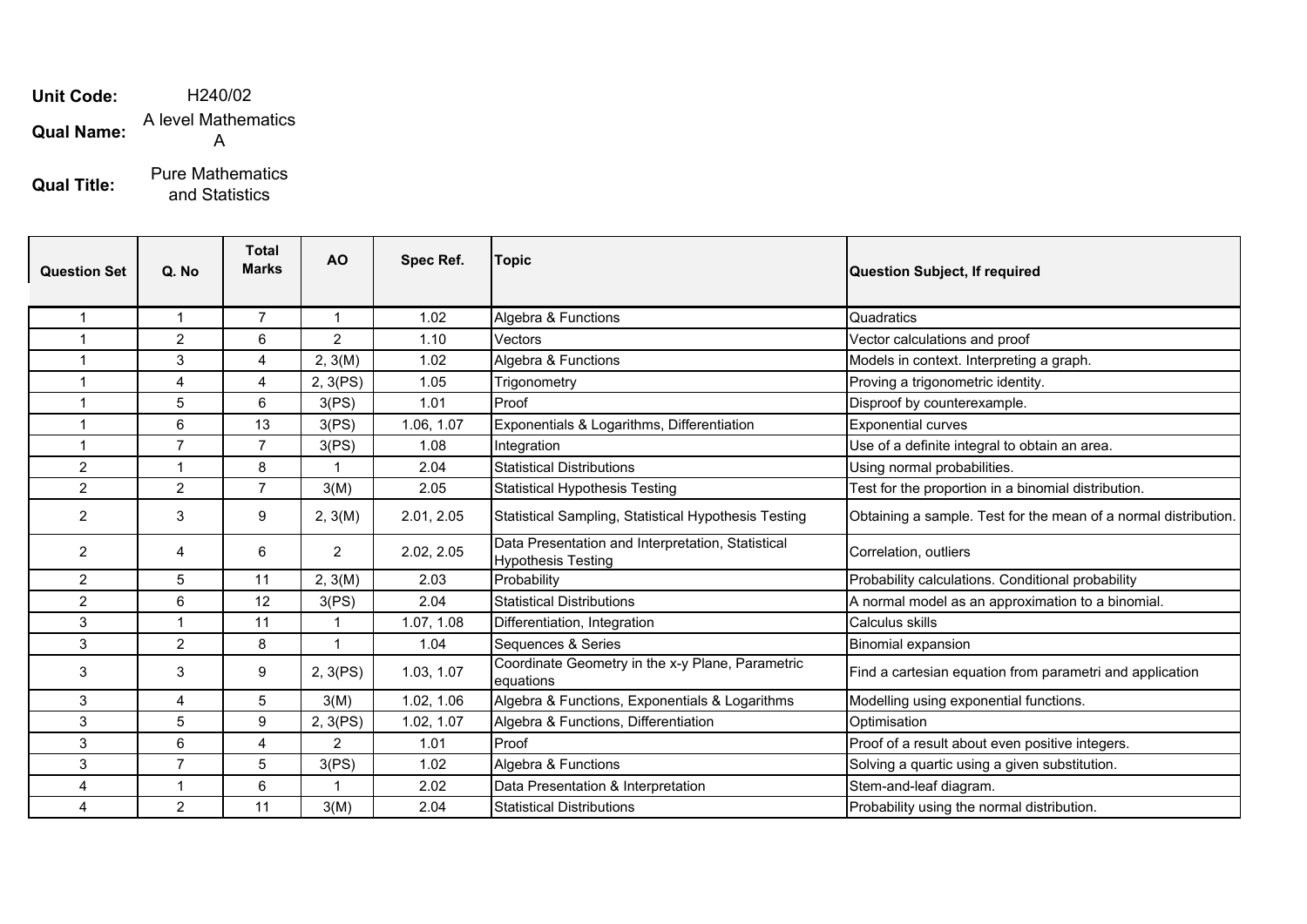**Unit Code: Qual Name:** H240/02 A level Mathematics A

**Qual Title:** Pure Mathematics and Statistics

| <b>Question Set</b> | Q. No          | <b>Total</b><br><b>Marks</b> | AO             | Spec Ref.  | Topic                                                                          | <b>Question Subject, If required</b>                            |
|---------------------|----------------|------------------------------|----------------|------------|--------------------------------------------------------------------------------|-----------------------------------------------------------------|
| 1                   | $\mathbf{1}$   | $\overline{7}$               | $\mathbf{1}$   | 1.02       | Algebra & Functions                                                            | Quadratics                                                      |
|                     | $\overline{2}$ | 6                            | $\overline{2}$ | 1.10       | Vectors                                                                        | Vector calculations and proof                                   |
| 1                   | 3              | 4                            | 2, 3(M)        | 1.02       | Algebra & Functions                                                            | Models in context. Interpreting a graph.                        |
| 1                   | 4              | 4                            | 2, 3(PS)       | 1.05       | Trigonometry                                                                   | Proving a trigonometric identity.                               |
| 1                   | 5              | 6                            | 3(PS)          | 1.01       | Proof                                                                          | Disproof by counterexample.                                     |
|                     | 6              | 13                           | 3(PS)          | 1.06, 1.07 | Exponentials & Logarithms, Differentiation                                     | <b>Exponential curves</b>                                       |
| 1                   | $\overline{7}$ | $\overline{7}$               | 3(PS)          | 1.08       | Integration                                                                    | Use of a definite integral to obtain an area.                   |
| $\overline{c}$      | 1              | 8                            | $\overline{ }$ | 2.04       | <b>Statistical Distributions</b>                                               | Using normal probabilities.                                     |
| $\overline{2}$      | $\overline{2}$ | $\overline{7}$               | 3(M)           | 2.05       | <b>Statistical Hypothesis Testing</b>                                          | Test for the proportion in a binomial distribution.             |
| $\overline{2}$      | 3              | 9                            | 2, 3(M)        | 2.01, 2.05 | Statistical Sampling, Statistical Hypothesis Testing                           | Obtaining a sample. Test for the mean of a normal distribution. |
| 2                   | 4              | 6                            | 2              | 2.02, 2.05 | Data Presentation and Interpretation, Statistical<br><b>Hypothesis Testing</b> | Correlation, outliers                                           |
| $\overline{c}$      | 5              | 11                           | 2, 3(M)        | 2.03       | Probability                                                                    | Probability calculations. Conditional probability               |
| $\overline{2}$      | 6              | 12                           | 3(PS)          | 2.04       | <b>Statistical Distributions</b>                                               | A normal model as an approximation to a binomial.               |
| 3                   | 1              | 11                           | -1             | 1.07, 1.08 | Differentiation, Integration                                                   | Calculus skills                                                 |
| 3                   | $\overline{2}$ | 8                            | -1             | 1.04       | Sequences & Series                                                             | <b>Binomial expansion</b>                                       |
| 3                   | 3              | 9                            | 2, 3(PS)       | 1.03, 1.07 | Coordinate Geometry in the x-y Plane, Parametric<br>equations                  | Find a cartesian equation from parametri and application        |
| 3                   | 4              | 5                            | 3(M)           | 1.02, 1.06 | Algebra & Functions, Exponentials & Logarithms                                 | Modelling using exponential functions.                          |
| 3                   | 5              | 9                            | 2, 3(PS)       | 1.02, 1.07 | Algebra & Functions, Differentiation                                           | Optimisation                                                    |
| 3                   | 6              | 4                            | $\overline{2}$ | 1.01       | Proof                                                                          | Proof of a result about even positive integers.                 |
| 3                   | $\overline{7}$ | 5                            | 3(PS)          | 1.02       | Algebra & Functions                                                            | Solving a quartic using a given substitution.                   |
| 4                   | 1              | 6                            | $\overline{1}$ | 2.02       | Data Presentation & Interpretation                                             | Stem-and-leaf diagram.                                          |
| 4                   | $\overline{2}$ | 11                           | 3(M)           | 2.04       | <b>Statistical Distributions</b>                                               | Probability using the normal distribution.                      |